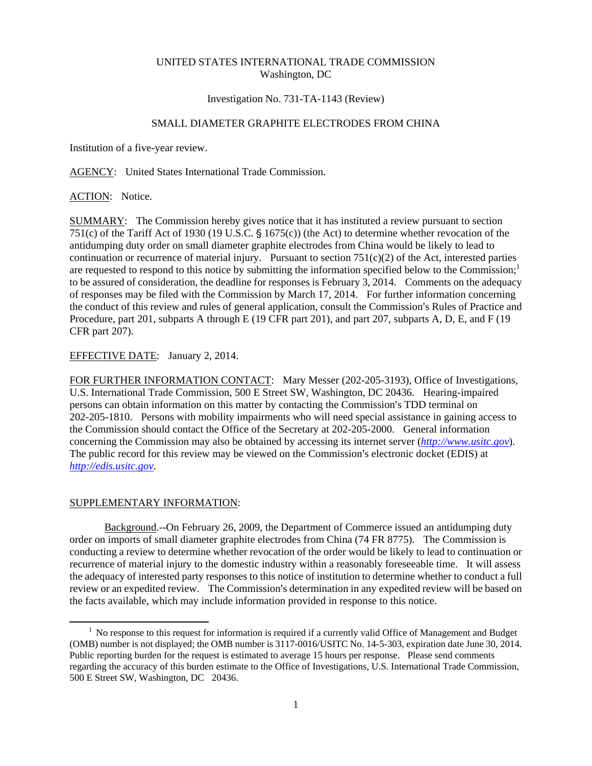#### UNITED STATES INTERNATIONAL TRADE COMMISSION Washington, DC

#### Investigation No. 731-TA-1143 (Review)

# SMALL DIAMETER GRAPHITE ELECTRODES FROM CHINA

Institution of a five-year review.

AGENCY: United States International Trade Commission.

ACTION: Notice.

SUMMARY: The Commission hereby gives notice that it has instituted a review pursuant to section 751(c) of the Tariff Act of 1930 (19 U.S.C.  $\S$  1675(c)) (the Act) to determine whether revocation of the antidumping duty order on small diameter graphite electrodes from China would be likely to lead to continuation or recurrence of material injury. Pursuant to section  $751(c)(2)$  of the Act, interested parties are requested to respond to this notice by submitting the information specified below to the Commission; $<sup>1</sup>$ </sup> to be assured of consideration, the deadline for responses is February 3, 2014. Comments on the adequacy of responses may be filed with the Commission by March 17, 2014. For further information concerning the conduct of this review and rules of general application, consult the Commission's Rules of Practice and Procedure, part 201, subparts A through E (19 CFR part 201), and part 207, subparts A, D, E, and F (19 CFR part 207).

### EFFECTIVE DATE: January 2, 2014.

FOR FURTHER INFORMATION CONTACT: Mary Messer (202-205-3193), Office of Investigations, U.S. International Trade Commission, 500 E Street SW, Washington, DC 20436. Hearing-impaired persons can obtain information on this matter by contacting the Commission's TDD terminal on 202-205-1810. Persons with mobility impairments who will need special assistance in gaining access to the Commission should contact the Office of the Secretary at 202-205-2000. General information concerning the Commission may also be obtained by accessing its internet server (*http://www.usitc.gov*). The public record for this review may be viewed on the Commission's electronic docket (EDIS) at *http://edis.usitc.gov*.

# SUPPLEMENTARY INFORMATION:

 $\overline{a}$ 

Background.--On February 26, 2009, the Department of Commerce issued an antidumping duty order on imports of small diameter graphite electrodes from China (74 FR 8775). The Commission is conducting a review to determine whether revocation of the order would be likely to lead to continuation or recurrence of material injury to the domestic industry within a reasonably foreseeable time. It will assess the adequacy of interested party responses to this notice of institution to determine whether to conduct a full review or an expedited review. The Commission's determination in any expedited review will be based on the facts available, which may include information provided in response to this notice.

<sup>&</sup>lt;sup>1</sup> No response to this request for information is required if a currently valid Office of Management and Budget (OMB) number is not displayed; the OMB number is 3117-0016/USITC No. 14-5-303, expiration date June 30, 2014. Public reporting burden for the request is estimated to average 15 hours per response. Please send comments regarding the accuracy of this burden estimate to the Office of Investigations, U.S. International Trade Commission, 500 E Street SW, Washington, DC 20436.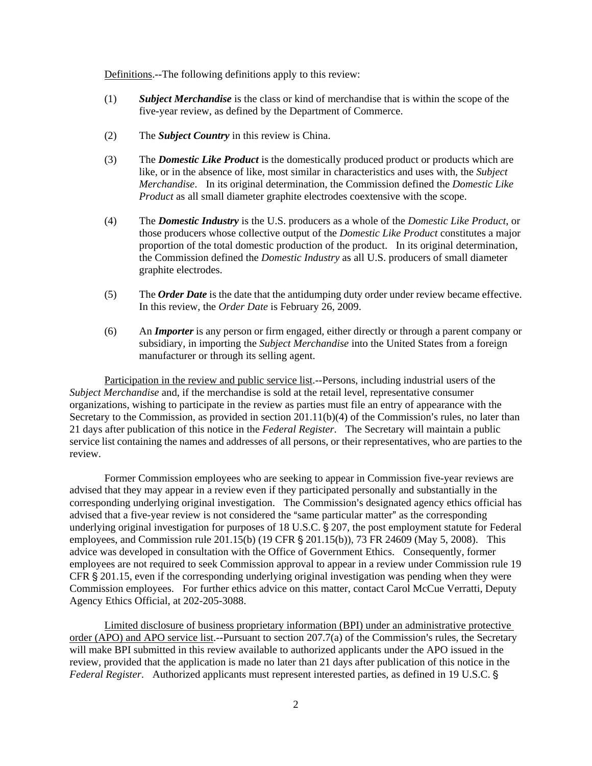Definitions.--The following definitions apply to this review:

- (1) *Subject Merchandise* is the class or kind of merchandise that is within the scope of the five-year review, as defined by the Department of Commerce.
- (2) The *Subject Country* in this review is China.
- (3) The *Domestic Like Product* is the domestically produced product or products which are like, or in the absence of like, most similar in characteristics and uses with, the *Subject Merchandise*. In its original determination, the Commission defined the *Domestic Like Product* as all small diameter graphite electrodes coextensive with the scope.
- (4) The *Domestic Industry* is the U.S. producers as a whole of the *Domestic Like Product*, or those producers whose collective output of the *Domestic Like Product* constitutes a major proportion of the total domestic production of the product. In its original determination, the Commission defined the *Domestic Industry* as all U.S. producers of small diameter graphite electrodes.
- (5) The *Order Date* is the date that the antidumping duty order under review became effective. In this review, the *Order Date* is February 26, 2009.
- (6) An *Importer* is any person or firm engaged, either directly or through a parent company or subsidiary, in importing the *Subject Merchandise* into the United States from a foreign manufacturer or through its selling agent.

Participation in the review and public service list.--Persons, including industrial users of the *Subject Merchandise* and, if the merchandise is sold at the retail level, representative consumer organizations, wishing to participate in the review as parties must file an entry of appearance with the Secretary to the Commission, as provided in section  $201.11(b)(4)$  of the Commission's rules, no later than 21 days after publication of this notice in the *Federal Register*. The Secretary will maintain a public service list containing the names and addresses of all persons, or their representatives, who are parties to the review.

Former Commission employees who are seeking to appear in Commission five-year reviews are advised that they may appear in a review even if they participated personally and substantially in the corresponding underlying original investigation. The Commission's designated agency ethics official has advised that a five-year review is not considered the "same particular matter" as the corresponding underlying original investigation for purposes of 18 U.S.C. § 207, the post employment statute for Federal employees, and Commission rule 201.15(b) (19 CFR  $\S$  201.15(b)), 73 FR 24609 (May 5, 2008). This advice was developed in consultation with the Office of Government Ethics. Consequently, former employees are not required to seek Commission approval to appear in a review under Commission rule 19 CFR  $\S 201.15$ , even if the corresponding underlying original investigation was pending when they were Commission employees. For further ethics advice on this matter, contact Carol McCue Verratti, Deputy Agency Ethics Official, at 202-205-3088.

Limited disclosure of business proprietary information (BPI) under an administrative protective order (APO) and APO service list.--Pursuant to section  $207.7(a)$  of the Commission's rules, the Secretary will make BPI submitted in this review available to authorized applicants under the APO issued in the review, provided that the application is made no later than 21 days after publication of this notice in the *Federal Register.* Authorized applicants must represent interested parties, as defined in 19 U.S.C. §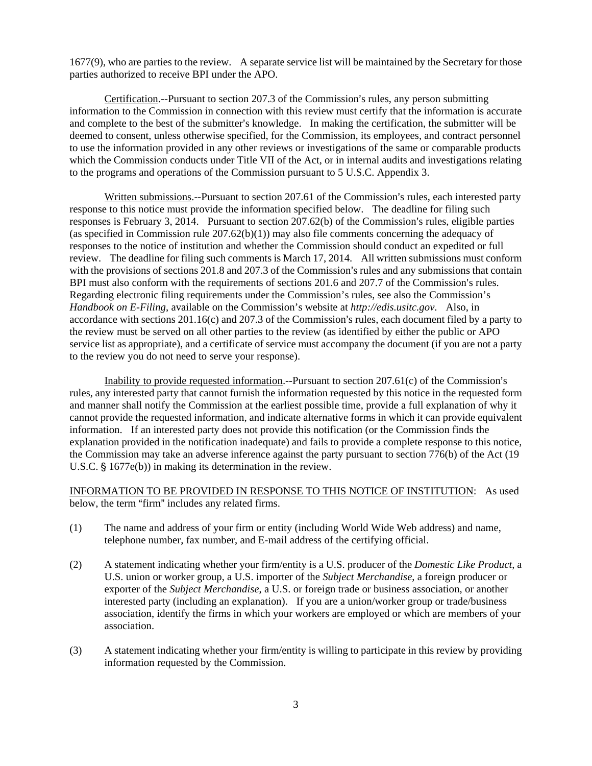1677(9), who are parties to the review. A separate service list will be maintained by the Secretary for those parties authorized to receive BPI under the APO.

Certification.--Pursuant to section 207.3 of the Commission's rules, any person submitting information to the Commission in connection with this review must certify that the information is accurate and complete to the best of the submitter's knowledge. In making the certification, the submitter will be deemed to consent, unless otherwise specified, for the Commission, its employees, and contract personnel to use the information provided in any other reviews or investigations of the same or comparable products which the Commission conducts under Title VII of the Act, or in internal audits and investigations relating to the programs and operations of the Commission pursuant to 5 U.S.C. Appendix 3.

Written submissions.--Pursuant to section 207.61 of the Commission's rules, each interested party response to this notice must provide the information specified below. The deadline for filing such responses is February 3, 2014. Pursuant to section  $207.62(b)$  of the Commission's rules, eligible parties (as specified in Commission rule 207.62(b)(1)) may also file comments concerning the adequacy of responses to the notice of institution and whether the Commission should conduct an expedited or full review. The deadline for filing such comments is March 17, 2014. All written submissions must conform with the provisions of sections 201.8 and 207.3 of the Commission's rules and any submissions that contain BPI must also conform with the requirements of sections 201.6 and 207.7 of the Commission's rules. Regarding electronic filing requirements under the Commission's rules, see also the Commission's *Handbook on E-Filing*, available on the Commission's website at *http://edis.usitc.gov*. Also, in accordance with sections  $201.16(c)$  and  $207.3$  of the Commission's rules, each document filed by a party to the review must be served on all other parties to the review (as identified by either the public or APO service list as appropriate), and a certificate of service must accompany the document (if you are not a party to the review you do not need to serve your response).

Inability to provide requested information.--Pursuant to section  $207.61(c)$  of the Commission's rules, any interested party that cannot furnish the information requested by this notice in the requested form and manner shall notify the Commission at the earliest possible time, provide a full explanation of why it cannot provide the requested information, and indicate alternative forms in which it can provide equivalent information. If an interested party does not provide this notification (or the Commission finds the explanation provided in the notification inadequate) and fails to provide a complete response to this notice, the Commission may take an adverse inference against the party pursuant to section 776(b) of the Act (19 U.S.C.  $\S$  1677e(b)) in making its determination in the review.

INFORMATION TO BE PROVIDED IN RESPONSE TO THIS NOTICE OF INSTITUTION: As used below, the term "firm" includes any related firms.

- (1) The name and address of your firm or entity (including World Wide Web address) and name, telephone number, fax number, and E-mail address of the certifying official.
- (2) A statement indicating whether your firm/entity is a U.S. producer of the *Domestic Like Product*, a U.S. union or worker group, a U.S. importer of the *Subject Merchandise*, a foreign producer or exporter of the *Subject Merchandise*, a U.S. or foreign trade or business association, or another interested party (including an explanation). If you are a union/worker group or trade/business association, identify the firms in which your workers are employed or which are members of your association.
- (3) A statement indicating whether your firm/entity is willing to participate in this review by providing information requested by the Commission.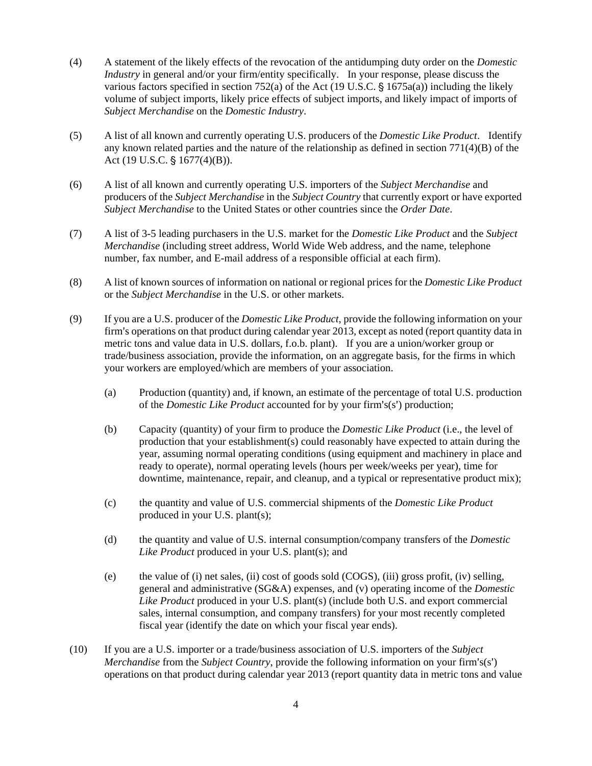- (4) A statement of the likely effects of the revocation of the antidumping duty order on the *Domestic Industry* in general and/or your firm/entity specifically. In your response, please discuss the various factors specified in section 752(a) of the Act (19 U.S.C.  $\S$  1675a(a)) including the likely volume of subject imports, likely price effects of subject imports, and likely impact of imports of *Subject Merchandise* on the *Domestic Industry*.
- (5) A list of all known and currently operating U.S. producers of the *Domestic Like Product*. Identify any known related parties and the nature of the relationship as defined in section  $771(4)(B)$  of the Act (19 U.S.C.  $\S$  1677(4)(B)).
- (6) A list of all known and currently operating U.S. importers of the *Subject Merchandise* and producers of the *Subject Merchandise* in the *Subject Country* that currently export or have exported *Subject Merchandise* to the United States or other countries since the *Order Date*.
- (7) A list of 3-5 leading purchasers in the U.S. market for the *Domestic Like Product* and the *Subject Merchandise* (including street address, World Wide Web address, and the name, telephone number, fax number, and E-mail address of a responsible official at each firm).
- (8) A list of known sources of information on national or regional prices for the *Domestic Like Product* or the *Subject Merchandise* in the U.S. or other markets.
- (9) If you are a U.S. producer of the *Domestic Like Product*, provide the following information on your firm's operations on that product during calendar year 2013, except as noted (report quantity data in metric tons and value data in U.S. dollars, f.o.b. plant). If you are a union/worker group or trade/business association, provide the information, on an aggregate basis, for the firms in which your workers are employed/which are members of your association.
	- (a) Production (quantity) and, if known, an estimate of the percentage of total U.S. production of the *Domestic Like Product* accounted for by your firm's(s') production;
	- (b) Capacity (quantity) of your firm to produce the *Domestic Like Product* (i.e., the level of production that your establishment(s) could reasonably have expected to attain during the year, assuming normal operating conditions (using equipment and machinery in place and ready to operate), normal operating levels (hours per week/weeks per year), time for downtime, maintenance, repair, and cleanup, and a typical or representative product mix);
	- (c) the quantity and value of U.S. commercial shipments of the *Domestic Like Product* produced in your U.S. plant(s);
	- (d) the quantity and value of U.S. internal consumption/company transfers of the *Domestic Like Product* produced in your U.S. plant(s); and
	- (e) the value of (i) net sales, (ii) cost of goods sold (COGS), (iii) gross profit, (iv) selling, general and administrative (SG&A) expenses, and (v) operating income of the *Domestic Like Product* produced in your U.S. plant(s) (include both U.S. and export commercial sales, internal consumption, and company transfers) for your most recently completed fiscal year (identify the date on which your fiscal year ends).
- (10) If you are a U.S. importer or a trade/business association of U.S. importers of the *Subject Merchandise* from the *Subject Country*, provide the following information on your firm's(s') operations on that product during calendar year 2013 (report quantity data in metric tons and value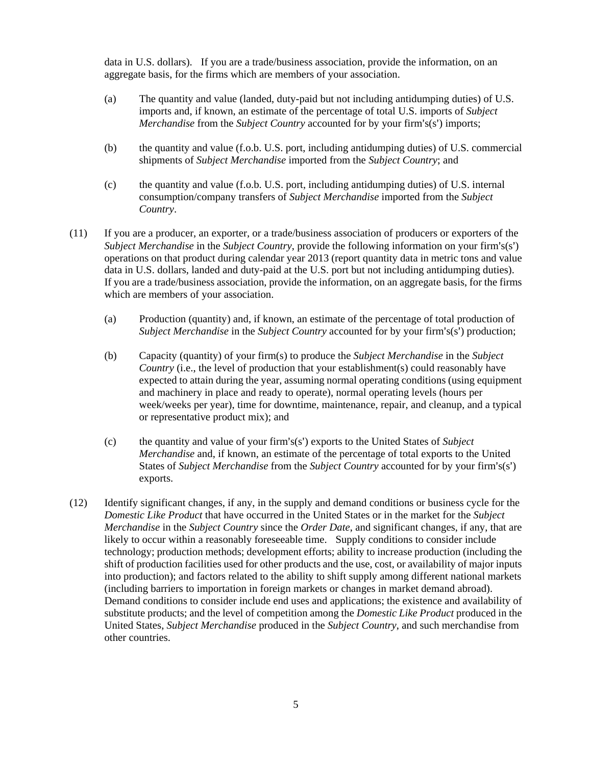data in U.S. dollars). If you are a trade/business association, provide the information, on an aggregate basis, for the firms which are members of your association.

- (a) The quantity and value (landed, duty-paid but not including antidumping duties) of U.S. imports and, if known, an estimate of the percentage of total U.S. imports of *Subject Merchandise* from the *Subject Country* accounted for by your firm's(s') imports;
- (b) the quantity and value (f.o.b. U.S. port, including antidumping duties) of U.S. commercial shipments of *Subject Merchandise* imported from the *Subject Country*; and
- (c) the quantity and value (f.o.b. U.S. port, including antidumping duties) of U.S. internal consumption/company transfers of *Subject Merchandise* imported from the *Subject Country*.
- (11) If you are a producer, an exporter, or a trade/business association of producers or exporters of the *Subject Merchandise* in the *Subject Country*, provide the following information on your firm's(s') operations on that product during calendar year 2013 (report quantity data in metric tons and value data in U.S. dollars, landed and duty-paid at the U.S. port but not including antidumping duties). If you are a trade/business association, provide the information, on an aggregate basis, for the firms which are members of your association.
	- (a) Production (quantity) and, if known, an estimate of the percentage of total production of *Subject Merchandise* in the *Subject Country* accounted for by your firm's(s') production;
	- (b) Capacity (quantity) of your firm(s) to produce the *Subject Merchandise* in the *Subject Country* (i.e., the level of production that your establishment(s) could reasonably have expected to attain during the year, assuming normal operating conditions (using equipment and machinery in place and ready to operate), normal operating levels (hours per week/weeks per year), time for downtime, maintenance, repair, and cleanup, and a typical or representative product mix); and
	- (c) the quantity and value of your firm's(s') exports to the United States of *Subject Merchandise* and, if known, an estimate of the percentage of total exports to the United States of *Subject Merchandise* from the *Subject Country* accounted for by your firm's(s') exports.
- (12) Identify significant changes, if any, in the supply and demand conditions or business cycle for the *Domestic Like Product* that have occurred in the United States or in the market for the *Subject Merchandise* in the *Subject Country* since the *Order Date*, and significant changes, if any, that are likely to occur within a reasonably foreseeable time. Supply conditions to consider include technology; production methods; development efforts; ability to increase production (including the shift of production facilities used for other products and the use, cost, or availability of major inputs into production); and factors related to the ability to shift supply among different national markets (including barriers to importation in foreign markets or changes in market demand abroad). Demand conditions to consider include end uses and applications; the existence and availability of substitute products; and the level of competition among the *Domestic Like Product* produced in the United States, *Subject Merchandise* produced in the *Subject Country*, and such merchandise from other countries.